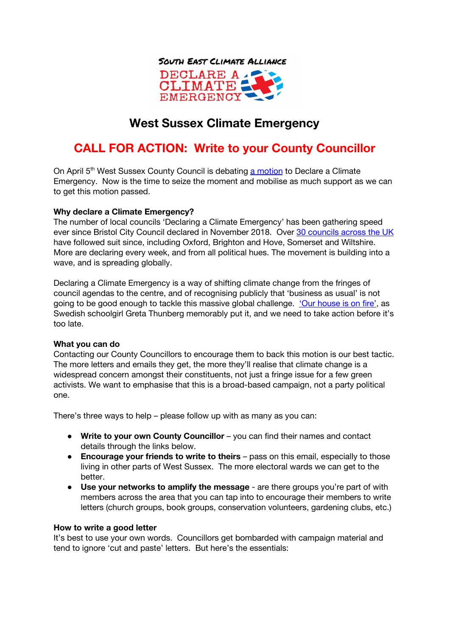

**EMERGENCY** 

## **West Sussex Climate Emergency**

# **CALL FOR ACTION: Write to your County Councillor**

On April 5<sup>th</sup> West Sussex County Council is debating a [motion](https://westsussex.moderngov.co.uk/mgAi.aspx?ID=3613) to Declare a Climate Emergency. Now is the time to seize the moment and mobilise as much support as we can to get this motion passed.

## **Why declare a Climate Emergency?**

The number of local councils 'Declaring a Climate Emergency' has been gathering speed ever since Bristol City Council declared in November 2018. Over 30 [councils](https://climateemergency.uk/) across the UK have followed suit since, including Oxford, Brighton and Hove, Somerset and Wiltshire. More are declaring every week, and from all political hues. The movement is building into a wave, and is spreading globally.

Declaring a Climate Emergency is a way of shifting climate change from the fringes of council agendas to the centre, and of recognising publicly that 'business as usual' is not going to be good enough to tackle this massive global challenge. 'Our [house](https://www.youtube.com/watch?v=zrF1THd4bUM) is on fire', as Swedish schoolgirl Greta Thunberg memorably put it, and we need to take action before it's too late.

## **What you can do**

Contacting our County Councillors to encourage them to back this motion is our best tactic. The more letters and emails they get, the more they'll realise that climate change is a widespread concern amongst their constituents, not just a fringe issue for a few green activists. We want to emphasise that this is a broad-based campaign, not a party political one.

There's three ways to help – please follow up with as many as you can:

- **Write to your own County Councillor** you can find their names and contact details through the links below.
- **Encourage your friends to write to theirs** pass on this email, especially to those living in other parts of West Sussex. The more electoral wards we can get to the better.
- **Use your networks to amplify the message** are there groups you're part of with members across the area that you can tap into to encourage their members to write letters (church groups, book groups, conservation volunteers, gardening clubs, etc.)

#### **How to write a good letter**

It's best to use your own words. Councillors get bombarded with campaign material and tend to ignore 'cut and paste' letters. But here's the essentials: